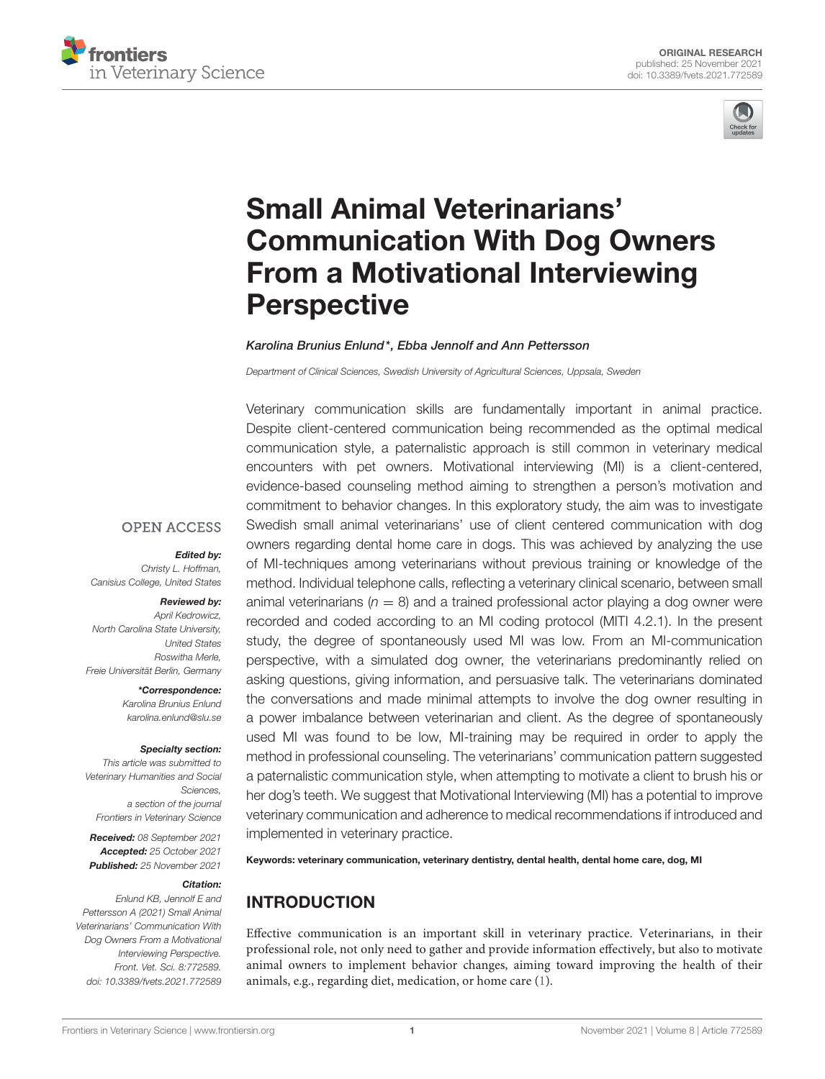



# Small Animal Veterinarians' [Communication With Dog Owners](https://www.frontiersin.org/articles/10.3389/fvets.2021.772589/full) From a Motivational Interviewing **Perspective**

#### Karolina Brunius Enlund\*, Ebba Jennolf and Ann Pettersson

Department of Clinical Sciences, Swedish University of Agricultural Sciences, Uppsala, Sweden

Veterinary communication skills are fundamentally important in animal practice. Despite client-centered communication being recommended as the optimal medical communication style, a paternalistic approach is still common in veterinary medical encounters with pet owners. Motivational interviewing (MI) is a client-centered, evidence-based counseling method aiming to strengthen a person's motivation and commitment to behavior changes. In this exploratory study, the aim was to investigate Swedish small animal veterinarians' use of client centered communication with dog owners regarding dental home care in dogs. This was achieved by analyzing the use of MI-techniques among veterinarians without previous training or knowledge of the method. Individual telephone calls, reflecting a veterinary clinical scenario, between small animal veterinarians ( $n = 8$ ) and a trained professional actor playing a dog owner were recorded and coded according to an MI coding protocol (MITI 4.2.1). In the present study, the degree of spontaneously used MI was low. From an MI-communication perspective, with a simulated dog owner, the veterinarians predominantly relied on asking questions, giving information, and persuasive talk. The veterinarians dominated the conversations and made minimal attempts to involve the dog owner resulting in a power imbalance between veterinarian and client. As the degree of spontaneously used MI was found to be low, MI-training may be required in order to apply the method in professional counseling. The veterinarians' communication pattern suggested a paternalistic communication style, when attempting to motivate a client to brush his or her dog's teeth. We suggest that Motivational Interviewing (MI) has a potential to improve veterinary communication and adherence to medical recommendations if introduced and implemented in veterinary practice.

Keywords: veterinary communication, veterinary dentistry, dental health, dental home care, dog, MI

# INTRODUCTION

Effective communication is an important skill in veterinary practice. Veterinarians, in their professional role, not only need to gather and provide information effectively, but also to motivate animal owners to implement behavior changes, aiming toward improving the health of their animals, e.g., regarding diet, medication, or home care [\(1\)](#page-5-0).

#### **OPEN ACCESS**

#### Edited by:

Christy L. Hoffman, Canisius College, United States

#### Reviewed by:

April Kedrowicz, North Carolina State University, United States Roswitha Merle, Freie Universität Berlin, Germany

> \*Correspondence: Karolina Brunius Enlund [karolina.enlund@slu.se](mailto:karolina.enlund@slu.se)

#### Specialty section:

This article was submitted to Veterinary Humanities and Social Sciences, a section of the journal Frontiers in Veterinary Science

Received: 08 September 2021 Accepted: 25 October 2021 Published: 25 November 2021

#### Citation:

Enlund KB, Jennolf E and Pettersson A (2021) Small Animal Veterinarians' Communication With Dog Owners From a Motivational Interviewing Perspective. Front. Vet. Sci. 8:772589. doi: [10.3389/fvets.2021.772589](https://doi.org/10.3389/fvets.2021.772589)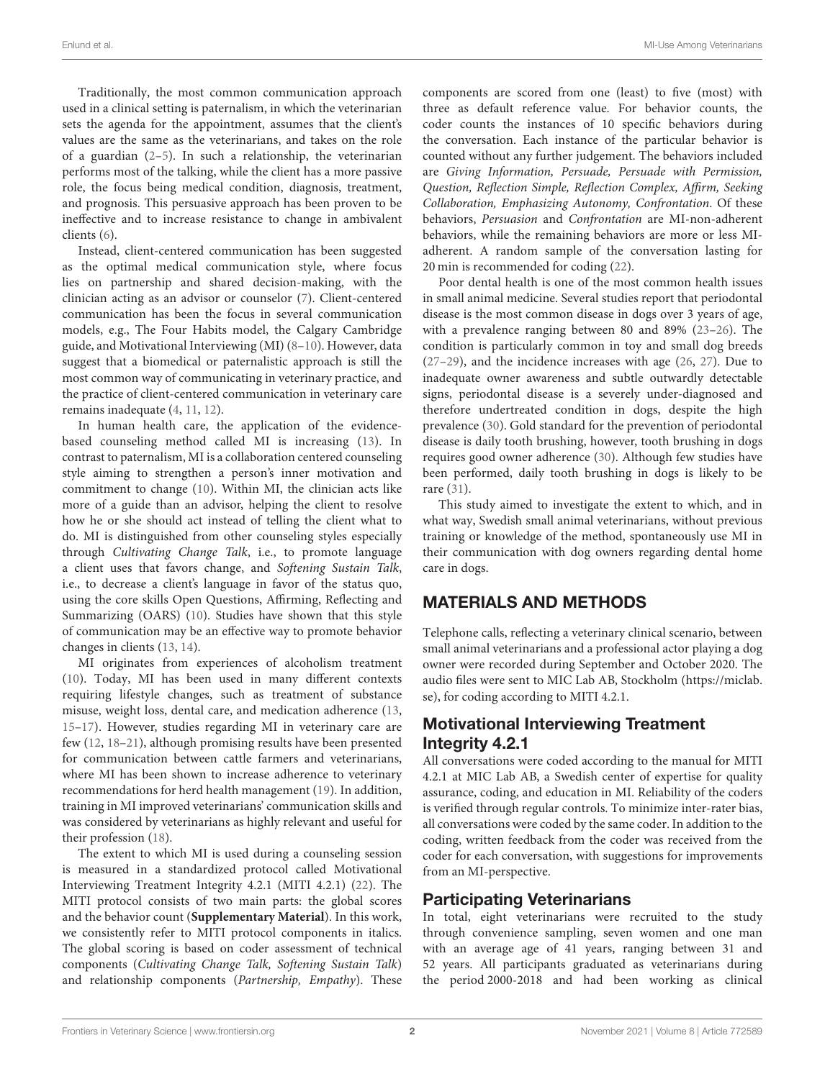Traditionally, the most common communication approach used in a clinical setting is paternalism, in which the veterinarian sets the agenda for the appointment, assumes that the client's values are the same as the veterinarians, and takes on the role of a guardian [\(2](#page-5-1)[–5\)](#page-5-2). In such a relationship, the veterinarian performs most of the talking, while the client has a more passive role, the focus being medical condition, diagnosis, treatment, and prognosis. This persuasive approach has been proven to be ineffective and to increase resistance to change in ambivalent clients [\(6\)](#page-5-3).

Instead, client-centered communication has been suggested as the optimal medical communication style, where focus lies on partnership and shared decision-making, with the clinician acting as an advisor or counselor [\(7\)](#page-5-4). Client-centered communication has been the focus in several communication models, e.g., The Four Habits model, the Calgary Cambridge guide, and Motivational Interviewing (MI) [\(8–](#page-5-5)[10\)](#page-5-6). However, data suggest that a biomedical or paternalistic approach is still the most common way of communicating in veterinary practice, and the practice of client-centered communication in veterinary care remains inadequate [\(4,](#page-5-7) [11,](#page-5-8) [12\)](#page-5-9).

In human health care, the application of the evidencebased counseling method called MI is increasing [\(13\)](#page-5-10). In contrast to paternalism, MI is a collaboration centered counseling style aiming to strengthen a person's inner motivation and commitment to change [\(10\)](#page-5-6). Within MI, the clinician acts like more of a guide than an advisor, helping the client to resolve how he or she should act instead of telling the client what to do. MI is distinguished from other counseling styles especially through Cultivating Change Talk, i.e., to promote language a client uses that favors change, and Softening Sustain Talk, i.e., to decrease a client's language in favor of the status quo, using the core skills Open Questions, Affirming, Reflecting and Summarizing (OARS) [\(10\)](#page-5-6). Studies have shown that this style of communication may be an effective way to promote behavior changes in clients [\(13,](#page-5-10) [14\)](#page-5-11).

MI originates from experiences of alcoholism treatment [\(10\)](#page-5-6). Today, MI has been used in many different contexts requiring lifestyle changes, such as treatment of substance misuse, weight loss, dental care, and medication adherence [\(13,](#page-5-10) [15–](#page-5-12)[17\)](#page-6-0). However, studies regarding MI in veterinary care are few [\(12,](#page-5-9) [18](#page-6-1)[–21\)](#page-6-2), although promising results have been presented for communication between cattle farmers and veterinarians, where MI has been shown to increase adherence to veterinary recommendations for herd health management [\(19\)](#page-6-3). In addition, training in MI improved veterinarians' communication skills and was considered by veterinarians as highly relevant and useful for their profession [\(18\)](#page-6-1).

The extent to which MI is used during a counseling session is measured in a standardized protocol called Motivational Interviewing Treatment Integrity 4.2.1 (MITI 4.2.1) [\(22\)](#page-6-4). The MITI protocol consists of two main parts: the global scores and the behavior count (**[Supplementary Material](#page-5-13)**). In this work, we consistently refer to MITI protocol components in italics. The global scoring is based on coder assessment of technical components (Cultivating Change Talk, Softening Sustain Talk) and relationship components (Partnership, Empathy). These components are scored from one (least) to five (most) with three as default reference value. For behavior counts, the coder counts the instances of 10 specific behaviors during the conversation. Each instance of the particular behavior is counted without any further judgement. The behaviors included are Giving Information, Persuade, Persuade with Permission, Question, Reflection Simple, Reflection Complex, Affirm, Seeking Collaboration, Emphasizing Autonomy, Confrontation. Of these behaviors, Persuasion and Confrontation are MI-non-adherent behaviors, while the remaining behaviors are more or less MIadherent. A random sample of the conversation lasting for 20 min is recommended for coding [\(22\)](#page-6-4).

Poor dental health is one of the most common health issues in small animal medicine. Several studies report that periodontal disease is the most common disease in dogs over 3 years of age, with a prevalence ranging between 80 and 89% [\(23](#page-6-5)[–26\)](#page-6-6). The condition is particularly common in toy and small dog breeds [\(27](#page-6-7)[–29\)](#page-6-8), and the incidence increases with age [\(26,](#page-6-6) [27\)](#page-6-7). Due to inadequate owner awareness and subtle outwardly detectable signs, periodontal disease is a severely under-diagnosed and therefore undertreated condition in dogs, despite the high prevalence [\(30\)](#page-6-9). Gold standard for the prevention of periodontal disease is daily tooth brushing, however, tooth brushing in dogs requires good owner adherence [\(30\)](#page-6-9). Although few studies have been performed, daily tooth brushing in dogs is likely to be rare [\(31\)](#page-6-10).

This study aimed to investigate the extent to which, and in what way, Swedish small animal veterinarians, without previous training or knowledge of the method, spontaneously use MI in their communication with dog owners regarding dental home care in dogs.

# MATERIALS AND METHODS

Telephone calls, reflecting a veterinary clinical scenario, between small animal veterinarians and a professional actor playing a dog owner were recorded during September and October 2020. The audio files were sent to MIC Lab AB, Stockholm [\(https://miclab.](https://miclab.se) [se\)](https://miclab.se), for coding according to MITI 4.2.1.

# Motivational Interviewing Treatment Integrity 4.2.1

All conversations were coded according to the manual for MITI 4.2.1 at MIC Lab AB, a Swedish center of expertise for quality assurance, coding, and education in MI. Reliability of the coders is verified through regular controls. To minimize inter-rater bias, all conversations were coded by the same coder. In addition to the coding, written feedback from the coder was received from the coder for each conversation, with suggestions for improvements from an MI-perspective.

#### Participating Veterinarians

In total, eight veterinarians were recruited to the study through convenience sampling, seven women and one man with an average age of 41 years, ranging between 31 and 52 years. All participants graduated as veterinarians during the period 2000-2018 and had been working as clinical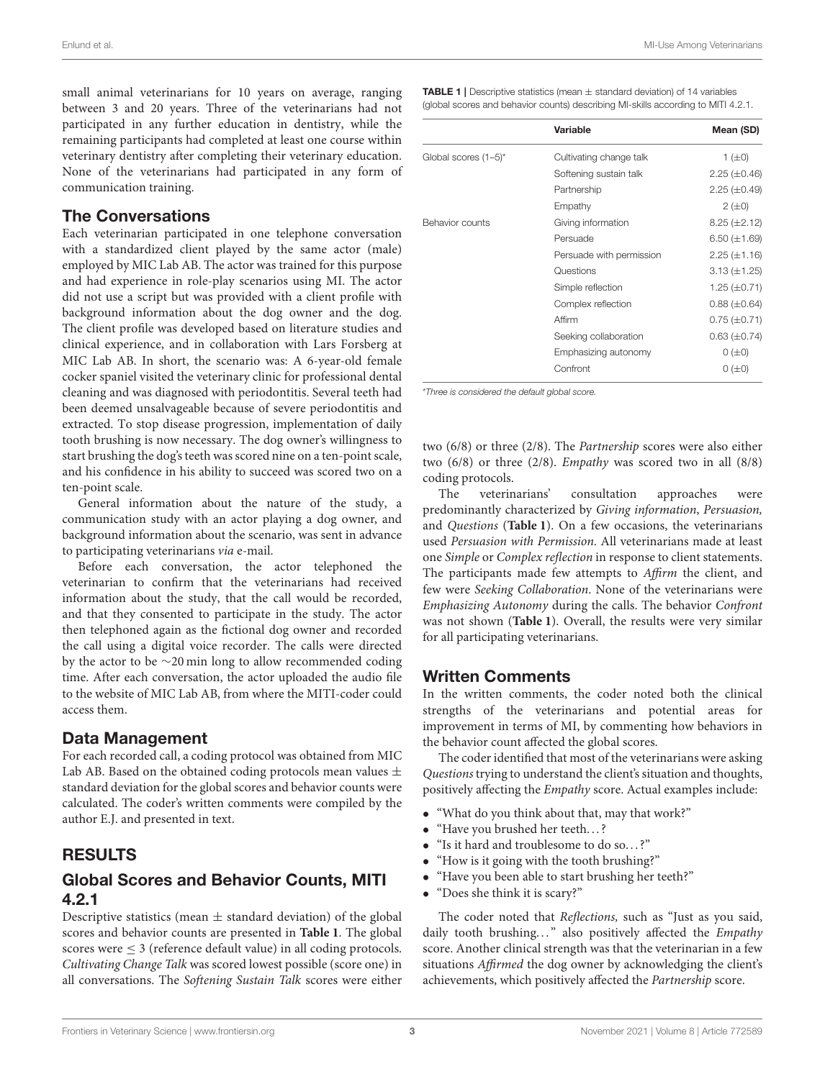small animal veterinarians for 10 years on average, ranging between 3 and 20 years. Three of the veterinarians had not participated in any further education in dentistry, while the remaining participants had completed at least one course within veterinary dentistry after completing their veterinary education. None of the veterinarians had participated in any form of communication training.

## The Conversations

Each veterinarian participated in one telephone conversation with a standardized client played by the same actor (male) employed by MIC Lab AB. The actor was trained for this purpose and had experience in role-play scenarios using MI. The actor did not use a script but was provided with a client profile with background information about the dog owner and the dog. The client profile was developed based on literature studies and clinical experience, and in collaboration with Lars Forsberg at MIC Lab AB. In short, the scenario was: A 6-year-old female cocker spaniel visited the veterinary clinic for professional dental cleaning and was diagnosed with periodontitis. Several teeth had been deemed unsalvageable because of severe periodontitis and extracted. To stop disease progression, implementation of daily tooth brushing is now necessary. The dog owner's willingness to start brushing the dog's teeth was scored nine on a ten-point scale, and his confidence in his ability to succeed was scored two on a ten-point scale.

General information about the nature of the study, a communication study with an actor playing a dog owner, and background information about the scenario, was sent in advance to participating veterinarians via e-mail.

Before each conversation, the actor telephoned the veterinarian to confirm that the veterinarians had received information about the study, that the call would be recorded, and that they consented to participate in the study. The actor then telephoned again as the fictional dog owner and recorded the call using a digital voice recorder. The calls were directed by the actor to be ∼20 min long to allow recommended coding time. After each conversation, the actor uploaded the audio file to the website of MIC Lab AB, from where the MITI-coder could access them.

#### Data Management

For each recorded call, a coding protocol was obtained from MIC Lab AB. Based on the obtained coding protocols mean values  $\pm$ standard deviation for the global scores and behavior counts were calculated. The coder's written comments were compiled by the author E.J. and presented in text.

# RESULTS

# Global Scores and Behavior Counts, MITI 4.2.1

Descriptive statistics (mean  $\pm$  standard deviation) of the global scores and behavior counts are presented in **[Table 1](#page-2-0)**. The global scores were  $\leq$  3 (reference default value) in all coding protocols. Cultivating Change Talk was scored lowest possible (score one) in all conversations. The Softening Sustain Talk scores were either

<span id="page-2-0"></span>**TABLE 1** | Descriptive statistics (mean  $\pm$  standard deviation) of 14 variables (global scores and behavior counts) describing MI-skills according to MITI 4.2.1.

|                      | Variable                 | Mean (SD)           |
|----------------------|--------------------------|---------------------|
| Global scores (1-5)* | Cultivating change talk  | 1 $(\pm 0)$         |
|                      | Softening sustain talk   | $2.25 (\pm 0.46)$   |
|                      | Partnership              | $2.25 \ (\pm 0.49)$ |
|                      | Empathy                  | $2(\pm 0)$          |
| Behavior counts      | Giving information       | $8.25 (\pm 2.12)$   |
|                      | Persuade                 | 6.50 $(\pm 1.69)$   |
|                      | Persuade with permission | $2.25 (\pm 1.16)$   |
|                      | Questions                | $3.13 \ (\pm 1.25)$ |
|                      | Simple reflection        | 1.25 $(\pm 0.71)$   |
|                      | Complex reflection       | $0.88 (\pm 0.64)$   |
|                      | Affirm                   | $0.75 (\pm 0.71)$   |
|                      | Seeking collaboration    | $0.63 \ (\pm 0.74)$ |
|                      | Emphasizing autonomy     | $0 (\pm 0)$         |
|                      | Confront                 | $0 (\pm 0)$         |

\*Three is considered the default global score.

two (6/8) or three (2/8). The Partnership scores were also either two (6/8) or three (2/8). Empathy was scored two in all (8/8) coding protocols.

The veterinarians' consultation approaches were predominantly characterized by Giving information, Persuasion, and Questions (**[Table 1](#page-2-0)**). On a few occasions, the veterinarians used Persuasion with Permission. All veterinarians made at least one Simple or Complex reflection in response to client statements. The participants made few attempts to Affirm the client, and few were Seeking Collaboration. None of the veterinarians were Emphasizing Autonomy during the calls. The behavior Confront was not shown (**[Table 1](#page-2-0)**). Overall, the results were very similar for all participating veterinarians.

#### Written Comments

In the written comments, the coder noted both the clinical strengths of the veterinarians and potential areas for improvement in terms of MI, by commenting how behaviors in the behavior count affected the global scores.

The coder identified that most of the veterinarians were asking Questions trying to understand the client's situation and thoughts, positively affecting the Empathy score. Actual examples include:

- "What do you think about that, may that work?"
- "Have you brushed her teeth. . . ?
- "Is it hard and troublesome to do so. . . ?"
- "How is it going with the tooth brushing?"
- "Have you been able to start brushing her teeth?"
- "Does she think it is scary?"

The coder noted that Reflections, such as "Just as you said, daily tooth brushing..." also positively affected the Empathy score. Another clinical strength was that the veterinarian in a few situations Affirmed the dog owner by acknowledging the client's achievements, which positively affected the Partnership score.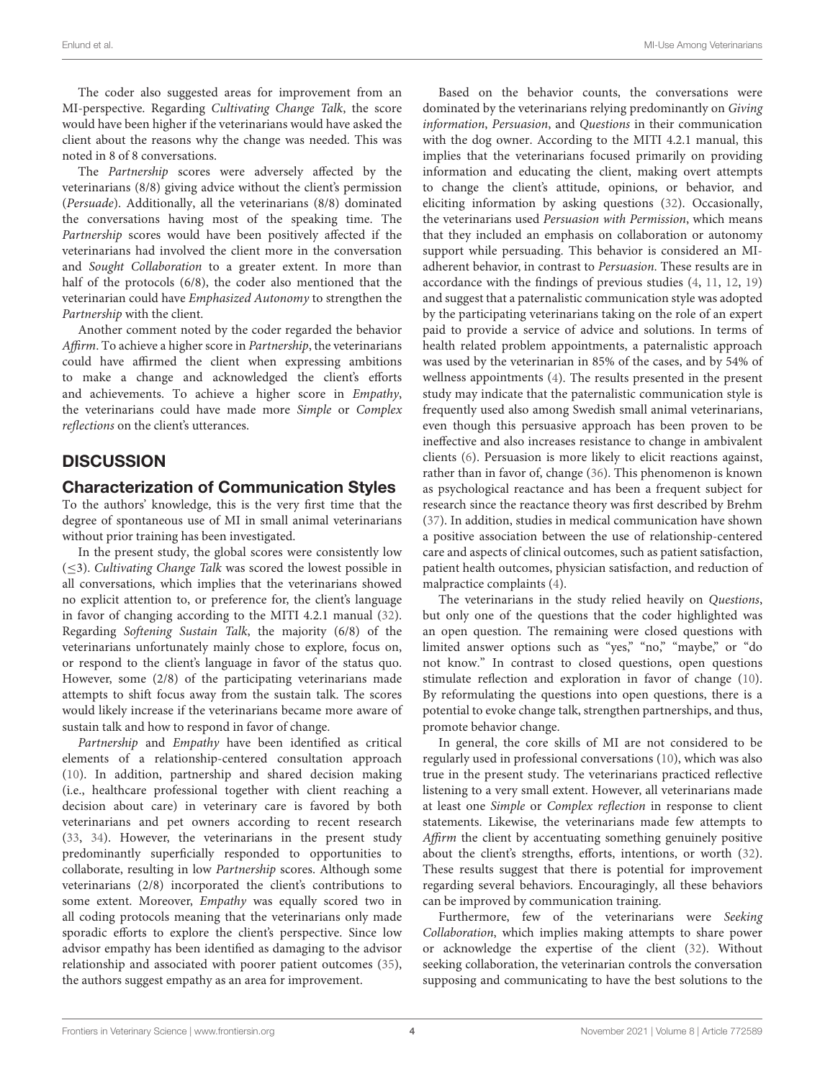The coder also suggested areas for improvement from an MI-perspective. Regarding Cultivating Change Talk, the score would have been higher if the veterinarians would have asked the client about the reasons why the change was needed. This was noted in 8 of 8 conversations.

The Partnership scores were adversely affected by the veterinarians (8/8) giving advice without the client's permission (Persuade). Additionally, all the veterinarians (8/8) dominated the conversations having most of the speaking time. The Partnership scores would have been positively affected if the veterinarians had involved the client more in the conversation and Sought Collaboration to a greater extent. In more than half of the protocols (6/8), the coder also mentioned that the veterinarian could have Emphasized Autonomy to strengthen the Partnership with the client.

Another comment noted by the coder regarded the behavior Affirm. To achieve a higher score in Partnership, the veterinarians could have affirmed the client when expressing ambitions to make a change and acknowledged the client's efforts and achievements. To achieve a higher score in Empathy, the veterinarians could have made more Simple or Complex reflections on the client's utterances.

# **DISCUSSION**

#### Characterization of Communication Styles

To the authors' knowledge, this is the very first time that the degree of spontaneous use of MI in small animal veterinarians without prior training has been investigated.

In the present study, the global scores were consistently low (≤3). Cultivating Change Talk was scored the lowest possible in all conversations, which implies that the veterinarians showed no explicit attention to, or preference for, the client's language in favor of changing according to the MITI 4.2.1 manual [\(32\)](#page-6-11). Regarding Softening Sustain Talk, the majority (6/8) of the veterinarians unfortunately mainly chose to explore, focus on, or respond to the client's language in favor of the status quo. However, some (2/8) of the participating veterinarians made attempts to shift focus away from the sustain talk. The scores would likely increase if the veterinarians became more aware of sustain talk and how to respond in favor of change.

Partnership and Empathy have been identified as critical elements of a relationship-centered consultation approach [\(10\)](#page-5-6). In addition, partnership and shared decision making (i.e., healthcare professional together with client reaching a decision about care) in veterinary care is favored by both veterinarians and pet owners according to recent research [\(33,](#page-6-12) [34\)](#page-6-13). However, the veterinarians in the present study predominantly superficially responded to opportunities to collaborate, resulting in low Partnership scores. Although some veterinarians (2/8) incorporated the client's contributions to some extent. Moreover, Empathy was equally scored two in all coding protocols meaning that the veterinarians only made sporadic efforts to explore the client's perspective. Since low advisor empathy has been identified as damaging to the advisor relationship and associated with poorer patient outcomes [\(35\)](#page-6-14), the authors suggest empathy as an area for improvement.

Based on the behavior counts, the conversations were dominated by the veterinarians relying predominantly on Giving information, Persuasion, and Questions in their communication with the dog owner. According to the MITI 4.2.1 manual, this implies that the veterinarians focused primarily on providing information and educating the client, making overt attempts to change the client's attitude, opinions, or behavior, and eliciting information by asking questions [\(32\)](#page-6-11). Occasionally, the veterinarians used Persuasion with Permission, which means that they included an emphasis on collaboration or autonomy support while persuading. This behavior is considered an MIadherent behavior, in contrast to Persuasion. These results are in accordance with the findings of previous studies [\(4,](#page-5-7) [11,](#page-5-8) [12,](#page-5-9) [19\)](#page-6-3) and suggest that a paternalistic communication style was adopted by the participating veterinarians taking on the role of an expert paid to provide a service of advice and solutions. In terms of health related problem appointments, a paternalistic approach was used by the veterinarian in 85% of the cases, and by 54% of wellness appointments [\(4\)](#page-5-7). The results presented in the present study may indicate that the paternalistic communication style is frequently used also among Swedish small animal veterinarians, even though this persuasive approach has been proven to be ineffective and also increases resistance to change in ambivalent clients [\(6\)](#page-5-3). Persuasion is more likely to elicit reactions against, rather than in favor of, change [\(36\)](#page-6-15). This phenomenon is known as psychological reactance and has been a frequent subject for research since the reactance theory was first described by Brehm [\(37\)](#page-6-16). In addition, studies in medical communication have shown a positive association between the use of relationship-centered care and aspects of clinical outcomes, such as patient satisfaction, patient health outcomes, physician satisfaction, and reduction of malpractice complaints [\(4\)](#page-5-7).

The veterinarians in the study relied heavily on Questions, but only one of the questions that the coder highlighted was an open question. The remaining were closed questions with limited answer options such as "yes," "no," "maybe," or "do not know." In contrast to closed questions, open questions stimulate reflection and exploration in favor of change [\(10\)](#page-5-6). By reformulating the questions into open questions, there is a potential to evoke change talk, strengthen partnerships, and thus, promote behavior change.

In general, the core skills of MI are not considered to be regularly used in professional conversations [\(10\)](#page-5-6), which was also true in the present study. The veterinarians practiced reflective listening to a very small extent. However, all veterinarians made at least one Simple or Complex reflection in response to client statements. Likewise, the veterinarians made few attempts to Affirm the client by accentuating something genuinely positive about the client's strengths, efforts, intentions, or worth [\(32\)](#page-6-11). These results suggest that there is potential for improvement regarding several behaviors. Encouragingly, all these behaviors can be improved by communication training.

Furthermore, few of the veterinarians were Seeking Collaboration, which implies making attempts to share power or acknowledge the expertise of the client [\(32\)](#page-6-11). Without seeking collaboration, the veterinarian controls the conversation supposing and communicating to have the best solutions to the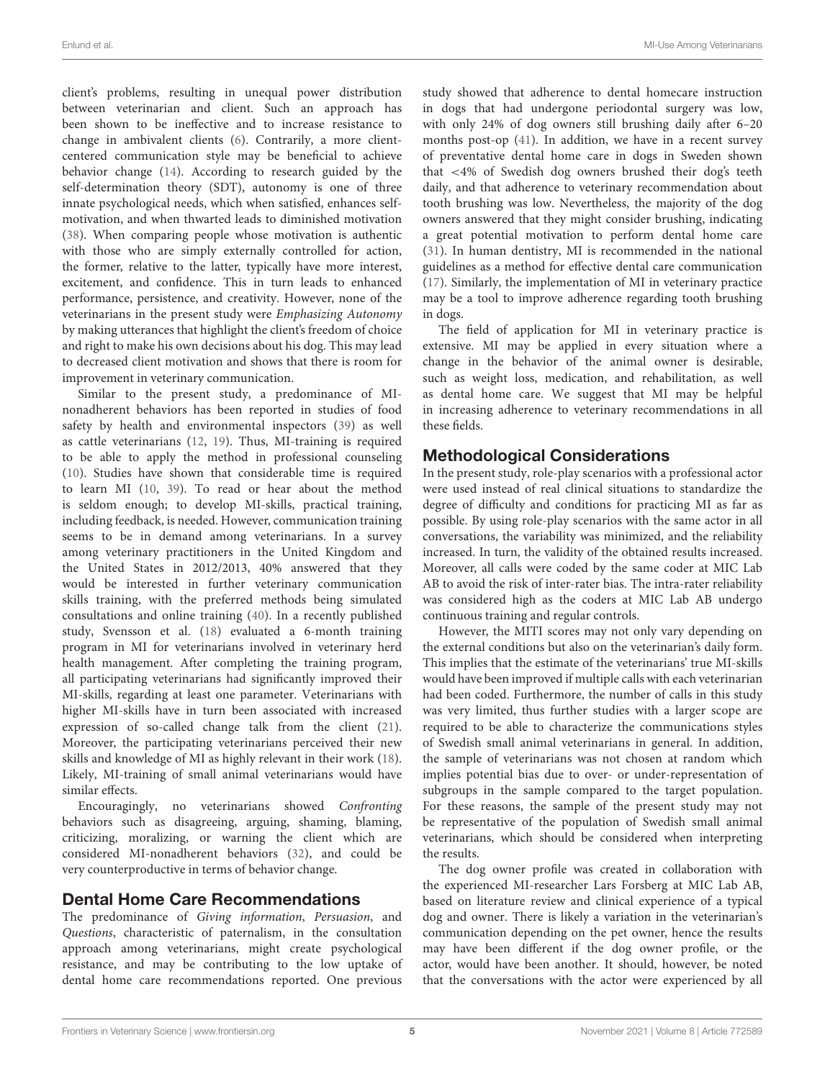client's problems, resulting in unequal power distribution between veterinarian and client. Such an approach has been shown to be ineffective and to increase resistance to change in ambivalent clients [\(6\)](#page-5-3). Contrarily, a more clientcentered communication style may be beneficial to achieve behavior change [\(14\)](#page-5-11). According to research guided by the self-determination theory (SDT), autonomy is one of three innate psychological needs, which when satisfied, enhances selfmotivation, and when thwarted leads to diminished motivation [\(38\)](#page-6-17). When comparing people whose motivation is authentic with those who are simply externally controlled for action, the former, relative to the latter, typically have more interest, excitement, and confidence. This in turn leads to enhanced performance, persistence, and creativity. However, none of the veterinarians in the present study were Emphasizing Autonomy by making utterances that highlight the client's freedom of choice and right to make his own decisions about his dog. This may lead to decreased client motivation and shows that there is room for improvement in veterinary communication.

Similar to the present study, a predominance of MInonadherent behaviors has been reported in studies of food safety by health and environmental inspectors [\(39\)](#page-6-18) as well as cattle veterinarians [\(12,](#page-5-9) [19\)](#page-6-3). Thus, MI-training is required to be able to apply the method in professional counseling [\(10\)](#page-5-6). Studies have shown that considerable time is required to learn MI [\(10,](#page-5-6) [39\)](#page-6-18). To read or hear about the method is seldom enough; to develop MI-skills, practical training, including feedback, is needed. However, communication training seems to be in demand among veterinarians. In a survey among veterinary practitioners in the United Kingdom and the United States in 2012/2013, 40% answered that they would be interested in further veterinary communication skills training, with the preferred methods being simulated consultations and online training [\(40\)](#page-6-19). In a recently published study, Svensson et al. [\(18\)](#page-6-1) evaluated a 6-month training program in MI for veterinarians involved in veterinary herd health management. After completing the training program, all participating veterinarians had significantly improved their MI-skills, regarding at least one parameter. Veterinarians with higher MI-skills have in turn been associated with increased expression of so-called change talk from the client [\(21\)](#page-6-2). Moreover, the participating veterinarians perceived their new skills and knowledge of MI as highly relevant in their work [\(18\)](#page-6-1). Likely, MI-training of small animal veterinarians would have similar effects.

Encouragingly, no veterinarians showed Confronting behaviors such as disagreeing, arguing, shaming, blaming, criticizing, moralizing, or warning the client which are considered MI-nonadherent behaviors [\(32\)](#page-6-11), and could be very counterproductive in terms of behavior change.

#### Dental Home Care Recommendations

The predominance of Giving information, Persuasion, and Questions, characteristic of paternalism, in the consultation approach among veterinarians, might create psychological resistance, and may be contributing to the low uptake of dental home care recommendations reported. One previous study showed that adherence to dental homecare instruction in dogs that had undergone periodontal surgery was low, with only 24% of dog owners still brushing daily after 6–20 months post-op [\(41\)](#page-6-20). In addition, we have in a recent survey of preventative dental home care in dogs in Sweden shown that <4% of Swedish dog owners brushed their dog's teeth daily, and that adherence to veterinary recommendation about tooth brushing was low. Nevertheless, the majority of the dog owners answered that they might consider brushing, indicating a great potential motivation to perform dental home care [\(31\)](#page-6-10). In human dentistry, MI is recommended in the national guidelines as a method for effective dental care communication [\(17\)](#page-6-0). Similarly, the implementation of MI in veterinary practice may be a tool to improve adherence regarding tooth brushing in dogs.

The field of application for MI in veterinary practice is extensive. MI may be applied in every situation where a change in the behavior of the animal owner is desirable, such as weight loss, medication, and rehabilitation, as well as dental home care. We suggest that MI may be helpful in increasing adherence to veterinary recommendations in all these fields.

## Methodological Considerations

In the present study, role-play scenarios with a professional actor were used instead of real clinical situations to standardize the degree of difficulty and conditions for practicing MI as far as possible. By using role-play scenarios with the same actor in all conversations, the variability was minimized, and the reliability increased. In turn, the validity of the obtained results increased. Moreover, all calls were coded by the same coder at MIC Lab AB to avoid the risk of inter-rater bias. The intra-rater reliability was considered high as the coders at MIC Lab AB undergo continuous training and regular controls.

However, the MITI scores may not only vary depending on the external conditions but also on the veterinarian's daily form. This implies that the estimate of the veterinarians' true MI-skills would have been improved if multiple calls with each veterinarian had been coded. Furthermore, the number of calls in this study was very limited, thus further studies with a larger scope are required to be able to characterize the communications styles of Swedish small animal veterinarians in general. In addition, the sample of veterinarians was not chosen at random which implies potential bias due to over- or under-representation of subgroups in the sample compared to the target population. For these reasons, the sample of the present study may not be representative of the population of Swedish small animal veterinarians, which should be considered when interpreting the results.

The dog owner profile was created in collaboration with the experienced MI-researcher Lars Forsberg at MIC Lab AB, based on literature review and clinical experience of a typical dog and owner. There is likely a variation in the veterinarian's communication depending on the pet owner, hence the results may have been different if the dog owner profile, or the actor, would have been another. It should, however, be noted that the conversations with the actor were experienced by all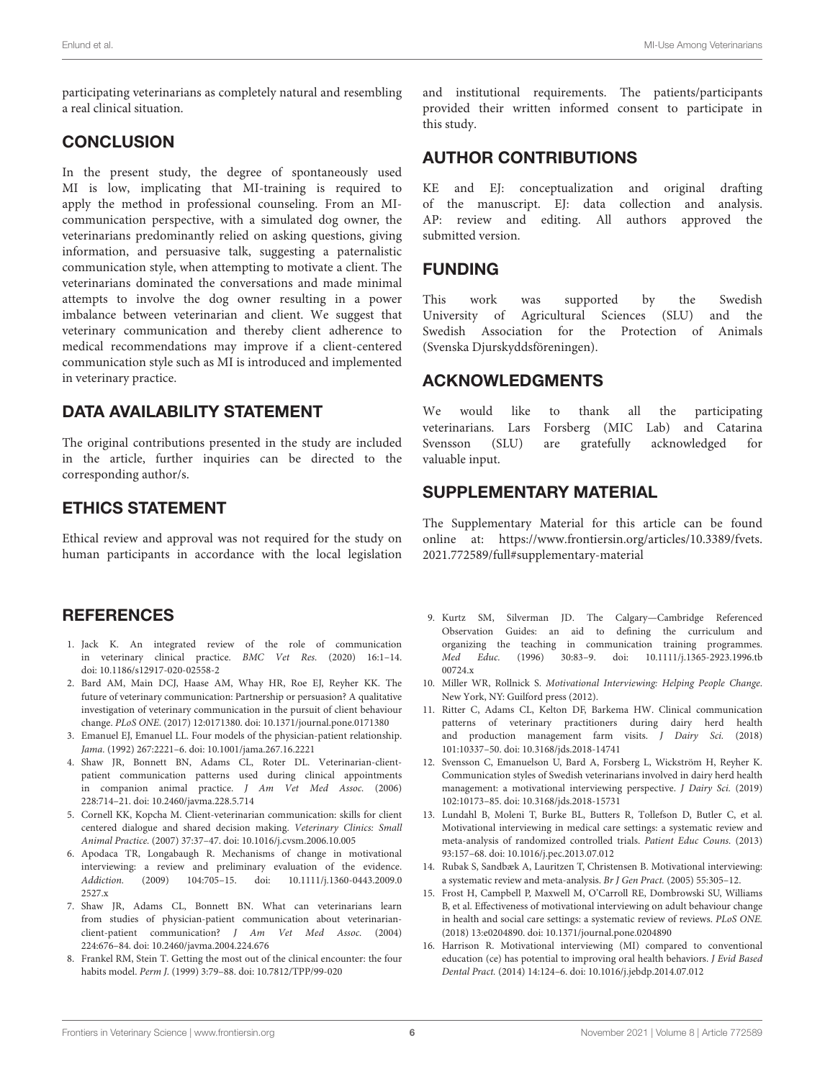participating veterinarians as completely natural and resembling a real clinical situation.

## **CONCLUSION**

In the present study, the degree of spontaneously used MI is low, implicating that MI-training is required to apply the method in professional counseling. From an MIcommunication perspective, with a simulated dog owner, the veterinarians predominantly relied on asking questions, giving information, and persuasive talk, suggesting a paternalistic communication style, when attempting to motivate a client. The veterinarians dominated the conversations and made minimal attempts to involve the dog owner resulting in a power imbalance between veterinarian and client. We suggest that veterinary communication and thereby client adherence to medical recommendations may improve if a client-centered communication style such as MI is introduced and implemented in veterinary practice.

# DATA AVAILABILITY STATEMENT

The original contributions presented in the study are included in the article, further inquiries can be directed to the corresponding author/s.

# ETHICS STATEMENT

Ethical review and approval was not required for the study on human participants in accordance with the local legislation

#### **REFERENCES**

- <span id="page-5-0"></span>1. Jack K. An integrated review of the role of communication in veterinary clinical practice. BMC Vet Res. (2020) 16:1–14. doi: [10.1186/s12917-020-02558-2](https://doi.org/10.1186/s12917-020-02558-2)
- <span id="page-5-1"></span>2. Bard AM, Main DCJ, Haase AM, Whay HR, Roe EJ, Reyher KK. The future of veterinary communication: Partnership or persuasion? A qualitative investigation of veterinary communication in the pursuit of client behaviour change. PLoS ONE. (2017) 12:0171380. doi: [10.1371/journal.pone.0171380](https://doi.org/10.1371/journal.pone.0171380)
- 3. Emanuel EJ, Emanuel LL. Four models of the physician-patient relationship. Jama. (1992) 267:2221–6. doi: [10.1001/jama.267.16.2221](https://doi.org/10.1001/jama.267.16.2221)
- <span id="page-5-7"></span>4. Shaw JR, Bonnett BN, Adams CL, Roter DL. Veterinarian-clientpatient communication patterns used during clinical appointments in companion animal practice. J Am Vet Med Assoc. (2006) 228:714–21. doi: [10.2460/javma.228.5.714](https://doi.org/10.2460/javma.228.5.714)
- <span id="page-5-2"></span>5. Cornell KK, Kopcha M. Client-veterinarian communication: skills for client centered dialogue and shared decision making. Veterinary Clinics: Small Animal Practice. (2007) 37:37–47. doi: [10.1016/j.cvsm.2006.10.005](https://doi.org/10.1016/j.cvsm.2006.10.005)
- <span id="page-5-3"></span>6. Apodaca TR, Longabaugh R. Mechanisms of change in motivational interviewing: a review and preliminary evaluation of the evidence. Addiction. [\(2009\) 104:705–15. doi: 10.1111/j.1360-0443.2009.0](https://doi.org/10.1111/j.1360-0443.2009.02527.x) 2527.x
- <span id="page-5-4"></span>7. Shaw JR, Adams CL, Bonnett BN. What can veterinarians learn from studies of physician-patient communication about veterinarianclient-patient communication? J Am Vet Med Assoc. (2004) 224:676–84. doi: [10.2460/javma.2004.224.676](https://doi.org/10.2460/javma.2004.224.676)
- <span id="page-5-5"></span>8. Frankel RM, Stein T. Getting the most out of the clinical encounter: the four habits model. Perm J. (1999) 3:79–88. doi: [10.7812/TPP/99-020](https://doi.org/10.7812/TPP/99-020)

and institutional requirements. The patients/participants provided their written informed consent to participate in this study.

## AUTHOR CONTRIBUTIONS

KE and EJ: conceptualization and original drafting of the manuscript. EJ: data collection and analysis. AP: review and editing. All authors approved the submitted version.

#### FUNDING

This work was supported by the Swedish University of Agricultural Sciences (SLU) and the Swedish Association for the Protection of Animals (Svenska Djurskyddsföreningen).

## ACKNOWLEDGMENTS

We would like to thank all the participating veterinarians. Lars Forsberg (MIC Lab) and Catarina Svensson (SLU) are gratefully acknowledged for valuable input.

## SUPPLEMENTARY MATERIAL

<span id="page-5-13"></span>The Supplementary Material for this article can be found [online at: https://www.frontiersin.org/articles/10.3389/fvets.](https://www.frontiersin.org/articles/10.3389/fvets.2021.772589/full#supplementary-material) 2021.772589/full#supplementary-material

- 9. Kurtz SM, Silverman JD. The Calgary—Cambridge Referenced Observation Guides: an aid to defining the curriculum and organizing the teaching in communication training programmes. Med Educ. [\(1996\) 30:83–9. doi: 10.1111/j.1365-2923.1996.tb](https://doi.org/10.1111/j.1365-2923.1996.tb00724.x) 00724.x
- <span id="page-5-6"></span>10. Miller WR, Rollnick S. Motivational Interviewing: Helping People Change. New York, NY: Guilford press (2012).
- <span id="page-5-8"></span>11. Ritter C, Adams CL, Kelton DF, Barkema HW. Clinical communication patterns of veterinary practitioners during dairy herd health and production management farm visits. J Dairy Sci. (2018) 101:10337–50. doi: [10.3168/jds.2018-14741](https://doi.org/10.3168/jds.2018-14741)
- <span id="page-5-9"></span>12. Svensson C, Emanuelson U, Bard A, Forsberg L, Wickström H, Reyher K. Communication styles of Swedish veterinarians involved in dairy herd health management: a motivational interviewing perspective. J Dairy Sci. (2019) 102:10173–85. doi: [10.3168/jds.2018-15731](https://doi.org/10.3168/jds.2018-15731)
- <span id="page-5-10"></span>13. Lundahl B, Moleni T, Burke BL, Butters R, Tollefson D, Butler C, et al. Motivational interviewing in medical care settings: a systematic review and meta-analysis of randomized controlled trials. Patient Educ Couns. (2013) 93:157–68. doi: [10.1016/j.pec.2013.07.012](https://doi.org/10.1016/j.pec.2013.07.012)
- <span id="page-5-11"></span>14. Rubak S, Sandbæk A, Lauritzen T, Christensen B. Motivational interviewing: a systematic review and meta-analysis. Br J Gen Pract. (2005) 55:305–12.
- <span id="page-5-12"></span>15. Frost H, Campbell P, Maxwell M, O'Carroll RE, Dombrowski SU, Williams B, et al. Effectiveness of motivational interviewing on adult behaviour change in health and social care settings: a systematic review of reviews. PLoS ONE. (2018) 13:e0204890. doi: [10.1371/journal.pone.0204890](https://doi.org/10.1371/journal.pone.0204890)
- 16. Harrison R. Motivational interviewing (MI) compared to conventional education (ce) has potential to improving oral health behaviors. J Evid Based Dental Pract. (2014) 14:124–6. doi: [10.1016/j.jebdp.2014.07.012](https://doi.org/10.1016/j.jebdp.2014.07.012)